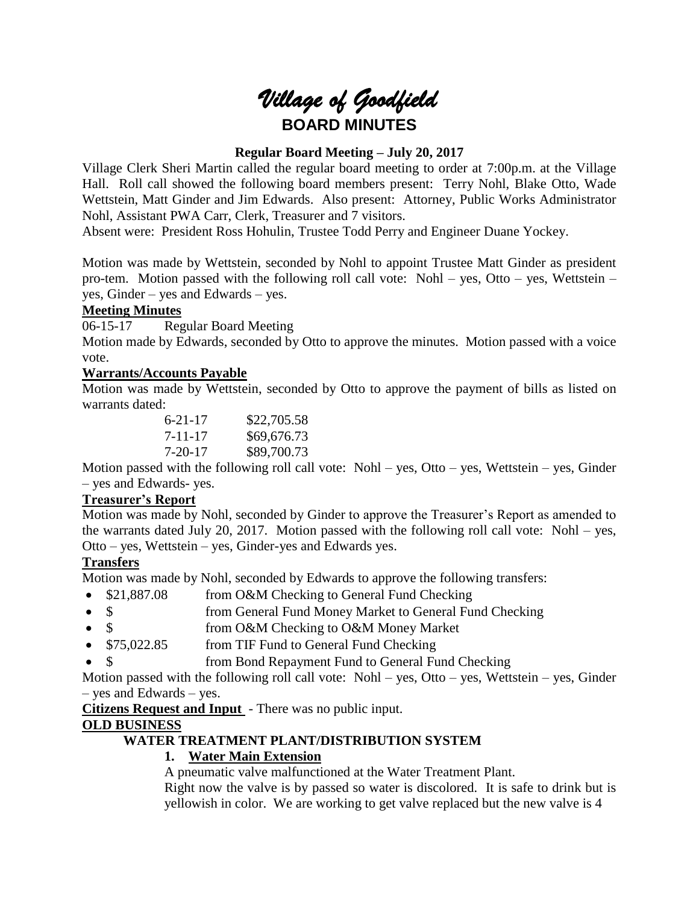# *Village of Goodfield* **BOARD MINUTES**

# **Regular Board Meeting – July 20, 2017**

Village Clerk Sheri Martin called the regular board meeting to order at 7:00p.m. at the Village Hall. Roll call showed the following board members present: Terry Nohl, Blake Otto, Wade Wettstein, Matt Ginder and Jim Edwards. Also present: Attorney, Public Works Administrator Nohl, Assistant PWA Carr, Clerk, Treasurer and 7 visitors.

Absent were: President Ross Hohulin, Trustee Todd Perry and Engineer Duane Yockey.

Motion was made by Wettstein, seconded by Nohl to appoint Trustee Matt Ginder as president pro-tem. Motion passed with the following roll call vote: Nohl – yes, Otto – yes, Wettstein – yes, Ginder – yes and Edwards – yes.

# **Meeting Minutes**

06-15-17 Regular Board Meeting

Motion made by Edwards, seconded by Otto to approve the minutes. Motion passed with a voice vote.

# **Warrants/Accounts Payable**

Motion was made by Wettstein, seconded by Otto to approve the payment of bills as listed on warrants dated:

| $6 - 21 - 17$ | \$22,705.58 |
|---------------|-------------|
| 7-11-17       | \$69,676.73 |
| 7-20-17       | \$89,700.73 |
|               |             |

Motion passed with the following roll call vote: Nohl – yes, Otto – yes, Wettstein – yes, Ginder – yes and Edwards- yes.

# **Treasurer's Report**

Motion was made by Nohl, seconded by Ginder to approve the Treasurer's Report as amended to the warrants dated July 20, 2017. Motion passed with the following roll call vote: Nohl – yes, Otto – yes, Wettstein – yes, Ginder-yes and Edwards yes.

# **Transfers**

Motion was made by Nohl, seconded by Edwards to approve the following transfers:

- \$21,887.08 from O&M Checking to General Fund Checking
- \$ from General Fund Money Market to General Fund Checking
- \$ from O&M Checking to O&M Money Market
- \$75,022.85 from TIF Fund to General Fund Checking
- \$ from Bond Repayment Fund to General Fund Checking

Motion passed with the following roll call vote: Nohl – yes, Otto – yes, Wettstein – yes, Ginder – yes and Edwards – yes.

**Citizens Request and Input** - There was no public input.

# **OLD BUSINESS**

# **WATER TREATMENT PLANT/DISTRIBUTION SYSTEM**

# **1. Water Main Extension**

A pneumatic valve malfunctioned at the Water Treatment Plant. Right now the valve is by passed so water is discolored. It is safe to drink but is yellowish in color. We are working to get valve replaced but the new valve is 4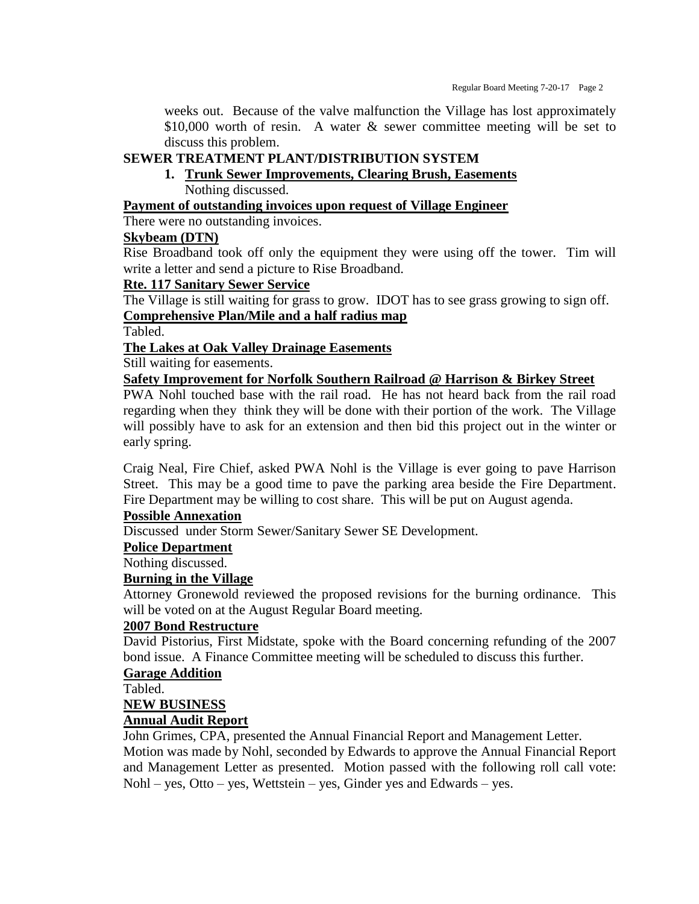weeks out. Because of the valve malfunction the Village has lost approximately \$10,000 worth of resin. A water & sewer committee meeting will be set to discuss this problem.

# **SEWER TREATMENT PLANT/DISTRIBUTION SYSTEM**

# **1. Trunk Sewer Improvements, Clearing Brush, Easements** Nothing discussed.

## **Payment of outstanding invoices upon request of Village Engineer**

## There were no outstanding invoices.

## **Skybeam (DTN)**

Rise Broadband took off only the equipment they were using off the tower. Tim will write a letter and send a picture to Rise Broadband.

## **Rte. 117 Sanitary Sewer Service**

The Village is still waiting for grass to grow. IDOT has to see grass growing to sign off. **Comprehensive Plan/Mile and a half radius map**

Tabled.

# **The Lakes at Oak Valley Drainage Easements**

Still waiting for easements.

# **Safety Improvement for Norfolk Southern Railroad @ Harrison & Birkey Street**

PWA Nohl touched base with the rail road. He has not heard back from the rail road regarding when they think they will be done with their portion of the work. The Village will possibly have to ask for an extension and then bid this project out in the winter or early spring.

Craig Neal, Fire Chief, asked PWA Nohl is the Village is ever going to pave Harrison Street. This may be a good time to pave the parking area beside the Fire Department. Fire Department may be willing to cost share. This will be put on August agenda.

# **Possible Annexation**

Discussed under Storm Sewer/Sanitary Sewer SE Development.

#### **Police Department**

Nothing discussed.

#### **Burning in the Village**

Attorney Gronewold reviewed the proposed revisions for the burning ordinance. This will be voted on at the August Regular Board meeting.

# **2007 Bond Restructure**

David Pistorius, First Midstate, spoke with the Board concerning refunding of the 2007 bond issue. A Finance Committee meeting will be scheduled to discuss this further.

#### **Garage Addition**

Tabled.

#### **NEW BUSINESS**

# **Annual Audit Report**

John Grimes, CPA, presented the Annual Financial Report and Management Letter. Motion was made by Nohl, seconded by Edwards to approve the Annual Financial Report and Management Letter as presented. Motion passed with the following roll call vote: Nohl – yes, Otto – yes, Wettstein – yes, Ginder yes and Edwards – yes.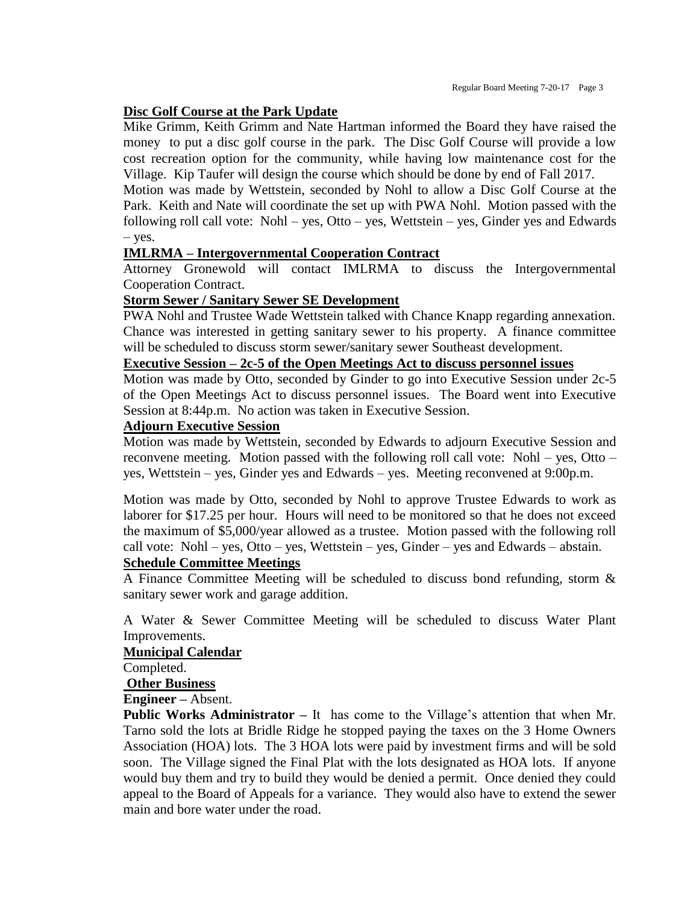## **Disc Golf Course at the Park Update**

Mike Grimm, Keith Grimm and Nate Hartman informed the Board they have raised the money to put a disc golf course in the park. The Disc Golf Course will provide a low cost recreation option for the community, while having low maintenance cost for the Village. Kip Taufer will design the course which should be done by end of Fall 2017.

Motion was made by Wettstein, seconded by Nohl to allow a Disc Golf Course at the Park. Keith and Nate will coordinate the set up with PWA Nohl. Motion passed with the following roll call vote: Nohl – yes, Otto – yes, Wettstein – yes, Ginder yes and Edwards – yes.

#### **IMLRMA – Intergovernmental Cooperation Contract**

Attorney Gronewold will contact IMLRMA to discuss the Intergovernmental Cooperation Contract.

## **Storm Sewer / Sanitary Sewer SE Development**

PWA Nohl and Trustee Wade Wettstein talked with Chance Knapp regarding annexation. Chance was interested in getting sanitary sewer to his property. A finance committee will be scheduled to discuss storm sewer/sanitary sewer Southeast development.

# **Executive Session – 2c-5 of the Open Meetings Act to discuss personnel issues**

Motion was made by Otto, seconded by Ginder to go into Executive Session under 2c-5 of the Open Meetings Act to discuss personnel issues. The Board went into Executive Session at 8:44p.m. No action was taken in Executive Session.

## **Adjourn Executive Session**

Motion was made by Wettstein, seconded by Edwards to adjourn Executive Session and reconvene meeting. Motion passed with the following roll call vote: Nohl – yes, Otto – yes, Wettstein – yes, Ginder yes and Edwards – yes. Meeting reconvened at 9:00p.m.

Motion was made by Otto, seconded by Nohl to approve Trustee Edwards to work as laborer for \$17.25 per hour. Hours will need to be monitored so that he does not exceed the maximum of \$5,000/year allowed as a trustee. Motion passed with the following roll call vote: Nohl – yes, Otto – yes, Wettstein – yes, Ginder – yes and Edwards – abstain.

## **Schedule Committee Meetings**

A Finance Committee Meeting will be scheduled to discuss bond refunding, storm & sanitary sewer work and garage addition.

A Water & Sewer Committee Meeting will be scheduled to discuss Water Plant Improvements.

#### **Municipal Calendar**

Completed.

#### **Other Business**

**Engineer –** Absent.

**Public Works Administrator** – It has come to the Village's attention that when Mr. Tarno sold the lots at Bridle Ridge he stopped paying the taxes on the 3 Home Owners Association (HOA) lots. The 3 HOA lots were paid by investment firms and will be sold soon. The Village signed the Final Plat with the lots designated as HOA lots. If anyone would buy them and try to build they would be denied a permit. Once denied they could appeal to the Board of Appeals for a variance. They would also have to extend the sewer main and bore water under the road.